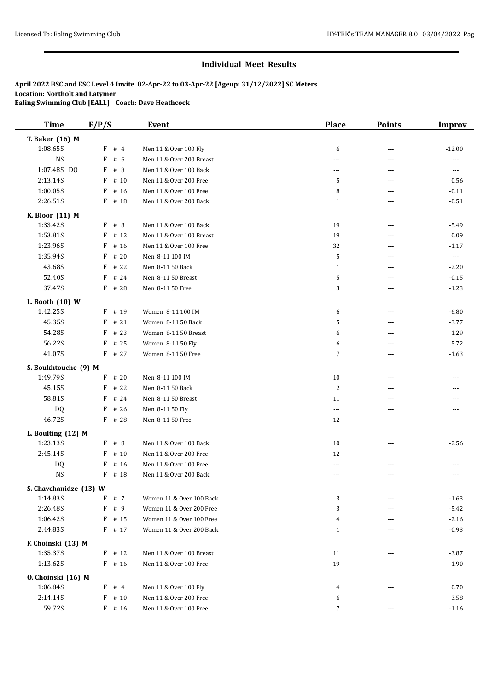| <b>Time</b>            | F/P/S           | <b>Event</b>             | <b>Place</b>             | <b>Points</b> | <b>Improv</b>                          |
|------------------------|-----------------|--------------------------|--------------------------|---------------|----------------------------------------|
| T. Baker (16) M        |                 |                          |                          |               |                                        |
| 1:08.65S               | $F$ # 4         | Men 11 & Over 100 Fly    | 6                        | ---           | $-12.00$                               |
| NS                     | F<br># $6$      | Men 11 & Over 200 Breast | $\overline{\phantom{a}}$ | ---           | $\sim$ $\sim$ $\sim$                   |
| 1:07.48S DQ            | F<br>#8         | Men 11 & Over 100 Back   | $\overline{\phantom{a}}$ | ---           | $\scriptstyle\cdots\scriptstyle\cdots$ |
| 2:13.14S               | F<br># 10       | Men 11 & Over 200 Free   | 5                        | ---           | 0.56                                   |
| 1:00.05S               | F<br># 16       | Men 11 & Over 100 Free   | 8                        | ---           | $-0.11$                                |
| 2:26.51S               | F<br># 18       | Men 11 & Over 200 Back   | $\mathbf{1}$             | ---           | $-0.51$                                |
| K. Bloor (11) M        |                 |                          |                          |               |                                        |
| 1:33.42S               | F # 8           | Men 11 & Over 100 Back   | 19                       | $---$         | $-5.49$                                |
| 1:53.81S               | $\rm F$<br># 12 | Men 11 & Over 100 Breast | 19                       | ---           | 0.09                                   |
| 1:23.96S               | F<br># 16       | Men 11 & Over 100 Free   | 32                       | ---           | $-1.17$                                |
| 1:35.94S               | # 20<br>F       | Men 8-11 100 IM          | 5                        | ---           | $\scriptstyle\cdots$                   |
| 43.68S                 | F<br># 22       | Men 8-11 50 Back         | $\mathbf{1}$             | ---           | $-2.20$                                |
| 52.40S                 | # 24<br>F       | Men 8-11 50 Breast       | 5                        | ---           | $-0.15$                                |
| 37.47S                 | F # 28          | Men 8-11 50 Free         | 3                        | ---           | $-1.23$                                |
| L. Booth (10) W        |                 |                          |                          |               |                                        |
| 1:42.25S               | # 19<br>F       | Women 8-11 100 IM        | 6                        | ---           | $-6.80$                                |
| 45.35S                 | # 21<br>F       | Women 8-11 50 Back       | 5                        | ---           | $-3.77$                                |
| 54.28S                 | F<br># 23       | Women 8-11 50 Breast     | 6                        | ---           | 1.29                                   |
| 56.22S                 | F<br># 25       | Women 8-11 50 Fly        | 6                        | ---           | 5.72                                   |
| 41.07S                 | $F$ # 27        | Women 8-11 50 Free       | 7                        | ---           | $-1.63$                                |
| S. Boukhtouche (9) M   |                 |                          |                          |               |                                        |
| 1:49.79S               | F<br># 20       | Men 8-11 100 IM          | 10                       | ---           | ---                                    |
| 45.15S                 | F<br># 22       | Men 8-11 50 Back         | 2                        | ---           | ---                                    |
| 58.81S                 | F<br># 24       | Men 8-11 50 Breast       | 11                       | ---           | ---                                    |
| DQ                     | F<br># 26       | Men 8-11 50 Fly          | $---$                    | ---           | ---                                    |
| 46.72S                 | $F$ # 28        | Men 8-11 50 Free         | 12                       | ---           | $\sim$ $\sim$ $\sim$                   |
| L. Boulting (12) M     |                 |                          |                          |               |                                        |
| 1:23.13S               | F # 8           | Men 11 & Over 100 Back   | 10                       | ---           | $-2.56$                                |
| 2:45.14S               | F<br># 10       | Men 11 & Over 200 Free   | 12                       | ---           | $\sim$ $\sim$ $\sim$                   |
| DQ                     | F<br># 16       | Men 11 & Over 100 Free   | ---                      | ---           | ---                                    |
| <b>NS</b>              | F<br># 18       | Men 11 & Over 200 Back   | $- - -$                  | ---           | $---$                                  |
| S. Chavchanidze (13) W |                 |                          |                          |               |                                        |
| 1:14.83S               | # 7<br>F        | Women 11 & Over 100 Back | 3                        | ---           | $-1.63$                                |
| 2:26.48S               | F<br># 9        | Women 11 & Over 200 Free | 3                        | ---           | $-5.42$                                |
| 1:06.42S               | F<br># 15       | Women 11 & Over 100 Free | 4                        | ---           | $-2.16$                                |
| 2:44.83S               | $F$ # 17        | Women 11 & Over 200 Back | $\mathbf{1}$             | $\cdots$      | $-0.93$                                |
| F. Choinski (13) M     |                 |                          |                          |               |                                        |
| 1:35.37S               | $F$ # 12        | Men 11 & Over 100 Breast | 11                       | ---           | $-3.87$                                |
| 1:13.62S               | $F$ # 16        | Men 11 & Over 100 Free   | 19                       | ---           | $-1.90$                                |
| 0. Choinski (16) M     |                 |                          |                          |               |                                        |
| 1:06.84S               | F<br>#4         | Men 11 & Over 100 Fly    | 4                        | ---           | 0.70                                   |
| 2:14.14S               | F<br># 10       | Men 11 & Over 200 Free   | 6                        | ---           | $-3.58$                                |
| 59.72S                 | $F$ # 16        | Men 11 & Over 100 Free   | 7                        | $\cdots$      | $-1.16$                                |
|                        |                 |                          |                          |               |                                        |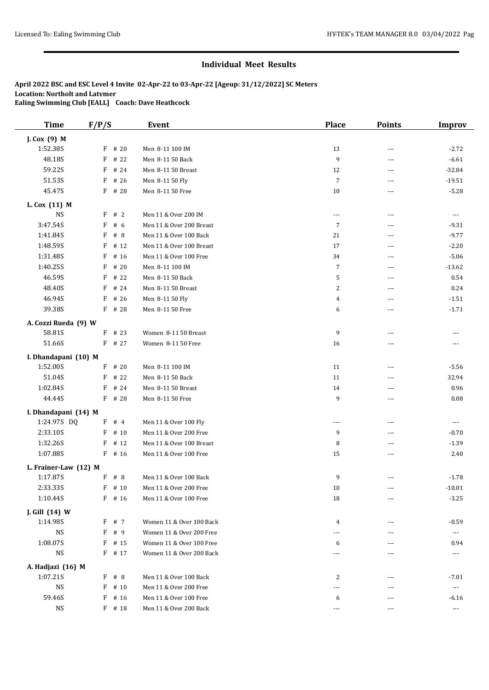| <b>Time</b>           | F/P/S             | <b>Event</b>                        | <b>Place</b>             | <b>Points</b>            | <b>Improv</b>         |
|-----------------------|-------------------|-------------------------------------|--------------------------|--------------------------|-----------------------|
| J. Cox (9) M          |                   |                                     |                          |                          |                       |
| 1:52.38S              | $F$ # 20          | Men 8-11 100 IM                     | 13                       | ---                      | $-2.72$               |
| 48.18S                | F<br># 22         | Men 8-11 50 Back                    | 9                        | ---                      | $-6.61$               |
| 59.22S                | # 24<br>F         | Men 8-11 50 Breast                  | 12                       | $---$                    | $-32.84$              |
| 51.53S                | # 26<br>F         | Men 8-11 50 Fly                     | $\overline{7}$           | ---                      | $-19.51$              |
| 45.47S                | F # 28            | Men 8-11 50 Free                    | 10                       | ---                      | $-5.28$               |
| L. Cox (11) M         |                   |                                     |                          |                          |                       |
| <b>NS</b>             | F<br>#2           | Men 11 & Over 200 IM                | $\overline{\phantom{a}}$ | $\overline{\phantom{a}}$ | $\sim$ $\sim$ $\sim$  |
| 3:47.54S              | F<br># 6          | Men 11 & Over 200 Breast            | 7                        | ---                      | $-9.31$               |
| 1:41.84S              | F<br># 8          | Men 11 & Over 100 Back              | 21                       | ---                      | $-9.77$               |
| 1:48.59S              | F<br># 12         | Men 11 & Over 100 Breast            | 17                       | ---                      | $-2.20$               |
| 1:31.48S              | F<br># 16         | Men 11 & Over 100 Free              | 34                       | ---                      | $-5.06$               |
| 1:40.25S              | F<br># 20         | Men 8-11 100 IM                     | 7                        | ---                      | $-13.62$              |
| 46.59S                | F<br># 22         | Men 8-11 50 Back                    | 5                        | ---                      | 0.54                  |
| 48.40S                | # 24<br>F         | Men 8-11 50 Breast                  | 2                        | $---$                    | 0.24                  |
| 46.94S                | # 26<br>F         | Men 8-11 50 Fly                     | 4                        | $\overline{\phantom{a}}$ | $-1.51$               |
| 39.38S                | $F$ # 28          | Men 8-11 50 Free                    | 6                        | ---                      | $-1.71$               |
| A. Cozzi Rueda (9) W  |                   |                                     |                          |                          |                       |
| 58.81S                | $F$ # 23          | Women 8-11 50 Breast                | 9                        | ---                      |                       |
| 51.66S                | $F$ # 27          | Women 8-11 50 Free                  | 16                       | ---                      | ---                   |
|                       |                   |                                     |                          |                          |                       |
| I. Dhandapani (10) M  |                   |                                     |                          |                          |                       |
| 1:52.00S<br>51.04S    | # 20<br>F<br># 22 | Men 8-11 100 IM<br>Men 8-11 50 Back | 11<br>11                 | ---                      | $-5.56$<br>32.94      |
| 1:02.84S              | F<br>F<br># 24    | Men 8-11 50 Breast                  |                          | ---                      | 0.96                  |
| 44.44S                | $F$ # 28          | Men 8-11 50 Free                    | 14<br>9                  | ---<br>---               | 0.08                  |
|                       |                   |                                     |                          |                          |                       |
| I. Dhandapani (14) M  |                   |                                     |                          |                          |                       |
| 1:24.97S DQ           | $F$ # 4           | Men 11 & Over 100 Fly               | $\overline{\phantom{a}}$ | ---                      | $\cdots$              |
| 2:33.10S              | F<br># 10         | Men 11 & Over 200 Free              | 9                        | ---                      | $-0.70$               |
| 1:32.26S              | F<br># 12         | Men 11 & Over 100 Breast            | 8                        | ---                      | $-1.39$               |
| 1:07.88S              | $F$ # 16          | Men 11 & Over 100 Free              | 15                       | ---                      | 2.40                  |
| L. Frainer-Law (12) M |                   |                                     |                          |                          |                       |
| 1:17.87S              | $F$ # 8           | Men 11 & Over 100 Back              | 9                        | ---                      | $-1.78$               |
| 2:33.33S              | $F$ # 10          | Men 11 & Over 200 Free              | 10                       |                          | $-10.01$              |
| 1:10.44S              | $F$ # 16          | Men 11 & Over 100 Free              | 18                       | $\cdots$                 | $-3.25$               |
| J. Gill (14) W        |                   |                                     |                          |                          |                       |
| 1:14.98S              | F # 7             | Women 11 & Over 100 Back            | 4                        | ---                      | $-0.59$               |
| NS                    | F # 9             | Women 11 & Over 200 Free            | ---                      | ---                      | $\scriptstyle \cdots$ |
| 1:08.07S              | $F$ # 15          | Women 11 & Over 100 Free            | 6                        | ---                      | 0.94                  |
| <b>NS</b>             | F # 17            | Women 11 & Over 200 Back            | ---                      | ---                      | $\cdots$              |
| A. Hadjazi (16) M     |                   |                                     |                          |                          |                       |
| 1:07.21S              | F # 8             | Men 11 & Over 100 Back              | 2                        | ---                      | $-7.01$               |
| $_{\rm NS}$           | F<br># 10         | Men 11 & Over 200 Free              | ---                      | ---                      | $\cdots$              |
| 59.46S                | # 16<br>F         | Men 11 & Over 100 Free              | 6                        | ---                      | $-6.16$               |
| NS                    | $F$ # 18          | Men 11 & Over 200 Back              | $---$                    | $\overline{\phantom{a}}$ | $\scriptstyle\cdots$  |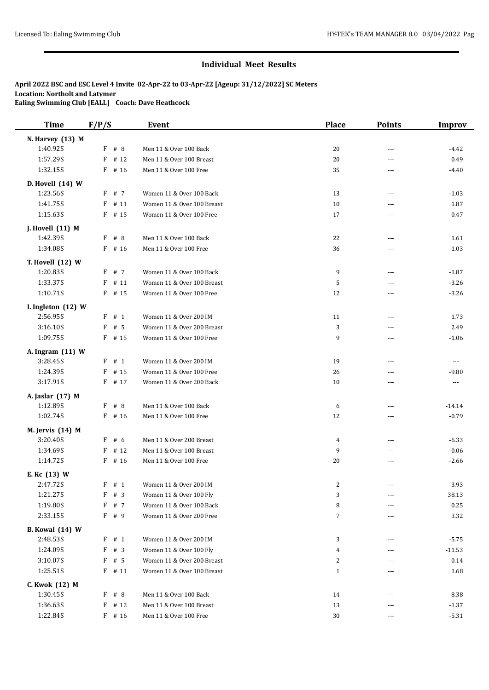| <b>Time</b>            | F/P/S     | Event                      | <b>Place</b>   | <b>Points</b> | <b>Improv</b> |
|------------------------|-----------|----------------------------|----------------|---------------|---------------|
| N. Harvey (13) M       |           |                            |                |               |               |
| 1:40.92S               | F # 8     | Men 11 & Over 100 Back     | 20             | ---           | $-4.42$       |
| 1:57.29S               | $F$ # 12  | Men 11 & Over 100 Breast   | 20             | ---           | 0.49          |
| 1:32.15S               | $F$ # 16  | Men 11 & Over 100 Free     | 35             | ---           | $-4.40$       |
| D. Hovell (14) W       |           |                            |                |               |               |
| 1:23.56S               | F # 7     | Women 11 & Over 100 Back   | 13             | ---           | $-1.03$       |
| 1:41.75S               | $F$ # 11  | Women 11 & Over 100 Breast | 10             | ---           | 1.87          |
| 1:15.63S               | $F$ # 15  | Women 11 & Over 100 Free   | 17             | ---           | 0.47          |
| J. Hovell (11) M       |           |                            |                |               |               |
| 1:42.39S               | F # 8     | Men 11 & Over 100 Back     | 22             | ---           | 1.61          |
| 1:34.08S               | $F$ # 16  | Men 11 & Over 100 Free     | 36             | ---           | $-1.03$       |
| T. Hovell (12) W       |           |                            |                |               |               |
| 1:20.83S               | F # 7     | Women 11 & Over 100 Back   | 9              | ---           | $-1.87$       |
| 1:33.37S               | $F$ # 11  | Women 11 & Over 100 Breast | 5              | ---           | $-3.26$       |
| 1:10.71S               | $F$ # 15  | Women 11 & Over 100 Free   | 12             | ---           | $-3.26$       |
| I. Ingleton (12) W     |           |                            |                |               |               |
| 2:56.95S               | F # 1     | Women 11 & Over 200 IM     | 11             | ---           | 1.73          |
| 3:16.10S               | F # 5     | Women 11 & Over 200 Breast | 3              | ---           | 2.49          |
| 1:09.75S               | $F$ # 15  | Women 11 & Over 100 Free   | 9              | ---           | $-1.06$       |
| A. Ingram (11) W       |           |                            |                |               |               |
| 3:28.45S               | F # 1     | Women 11 & Over 200 IM     | 19             | ---           | $---$         |
| 1:24.39S               | F<br># 15 | Women 11 & Over 100 Free   | 26             | ---           | $-9.80$       |
| 3:17.91S               | $F$ # 17  | Women 11 & Over 200 Back   | 10             | ---           | $\cdots$      |
| A. Jaslar (17) M       |           |                            |                |               |               |
| 1:12.89S               | F # 8     | Men 11 & Over 100 Back     | 6              | ---           | $-14.14$      |
| 1:02.74S               | $F$ # 16  | Men 11 & Over 100 Free     | 12             | ---           | $-0.79$       |
| M. Jervis (14) M       |           |                            |                |               |               |
| 3:20.40S               | F # 6     | Men 11 & Over 200 Breast   | 4              | ---           | $-6.33$       |
| 1:34.69S               | F<br># 12 | Men 11 & Over 100 Breast   | 9              | ---           | $-0.06$       |
| 1:14.72S               | $F$ # 16  | Men 11 & Over 100 Free     | 20             | ---           | $-2.66$       |
| E. Kc (13) W           |           |                            |                |               |               |
| 2:47.72S               | F # 1     | Women 11 & Over 200 IM     | 2              |               | $-3.93$       |
| 1:21.27S               | $F$ # 3   | Women 11 & Over 100 Fly    | 3              | ---           | 38.13         |
| 1:19.80S               | F # 7     | Women 11 & Over 100 Back   | 8              |               | 0.25          |
| 2:33.15S               | F # 9     | Women 11 & Over 200 Free   | $\overline{7}$ | ---           | 3.32          |
| <b>B.</b> Kowal (14) W |           |                            |                |               |               |
| 2:48.53S               | $F$ # 1   | Women 11 & Over 200 IM     | 3              | ---           | $-5.75$       |
| 1:24.09S               | #3<br>F   | Women 11 & Over 100 Fly    | 4              | ---           | $-11.53$      |
| 3:10.07S               | # 5<br>F  | Women 11 & Over 200 Breast | 2              | ---           | 0.14          |
| 1:25.51S               | $F$ # 11  | Women 11 & Over 100 Breast | $\mathbf{1}$   | ---           | 1.68          |
| C. Kwok (12) M         |           |                            |                |               |               |
| 1:30.45S               | F # 8     | Men 11 & Over 100 Back     | 14             | ---           | $-8.38$       |
| 1:36.63S               | # 12<br>F | Men 11 & Over 100 Breast   | 13             | ---           | $-1.37$       |
| 1:22.84S               | $F$ # 16  | Men 11 & Over 100 Free     | 30             | ---           | $-5.31$       |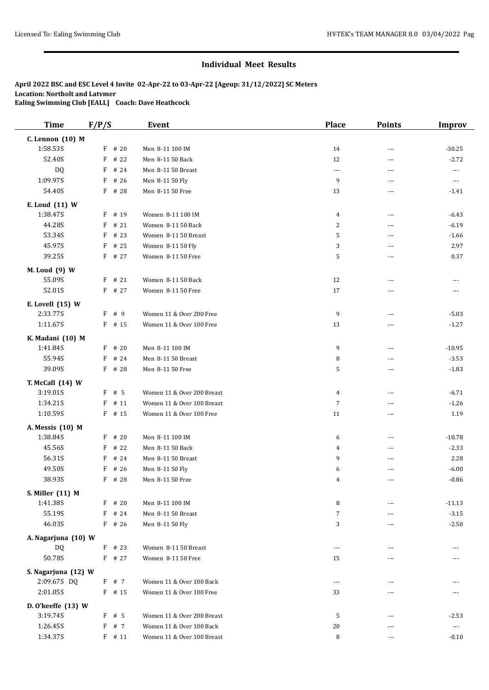| <b>Time</b>                | F/P/S     | <b>Event</b>               | Place                | <b>Points</b>  | <b>Improv</b>            |
|----------------------------|-----------|----------------------------|----------------------|----------------|--------------------------|
| C. Lennon (10) M           |           |                            |                      |                |                          |
| 1:58.53S                   | $F$ # 20  | Men 8-11 100 IM            | 14                   | ---            | $-30.25$                 |
| 52.40S                     | F<br># 22 | Men 8-11 50 Back           | 12                   | $\overline{a}$ | $-2.72$                  |
| DQ                         | # 24<br>F | Men 8-11 50 Breast         | $\sim$ $\sim$ $\sim$ | $\overline{a}$ | $---$                    |
| 1:09.97S                   | # 26<br>F | Men 8-11 50 Fly            | 9                    | ---            | $\overline{\phantom{a}}$ |
| 54.40S                     | F # 28    | Men 8-11 50 Free           | 13                   | $\overline{a}$ | $-1.41$                  |
|                            |           |                            |                      |                |                          |
| E. Loud (11) W<br>1:38.47S | F # 19    | Women 8-11 100 IM          |                      | ---            |                          |
| 44.28S                     | #21<br>F  | Women 8-11 50 Back         | $\overline{4}$       | ---            | $-6.43$<br>$-6.19$       |
| 53.34S                     | $F$ # 23  | Women 8-11 50 Breast       | 2<br>5               |                |                          |
| 45.97S                     | F<br># 25 |                            |                      | ---<br>---     | $-1.66$<br>2.97          |
|                            |           | Women 8-11 50 Fly          | 3                    |                |                          |
| 39.25S                     | $F$ # 27  | Women 8-11 50 Free         | 5                    | ---            | 0.37                     |
| M. Loud (9) W              |           |                            |                      |                |                          |
| 55.09S                     | $F$ # 21  | Women 8-11 50 Back         | 12                   | ---            | ---                      |
| 52.01S                     | $F$ # 27  | Women 8-11 50 Free         | 17                   | ---            | $\cdots$                 |
| E. Lovell (15) W           |           |                            |                      |                |                          |
| 2:33.77S                   | F # 9     | Women 11 & Over 200 Free   | 9                    | ---            | $-5.03$                  |
| 1:11.67S                   | $F$ # 15  | Women 11 & Over 100 Free   | 13                   | ---            | $-1.27$                  |
| K. Madani (10) M           |           |                            |                      |                |                          |
| 1:41.84S                   | $F$ # 20  | Men 8-11 100 IM            | 9                    | ---            | $-10.95$                 |
| 55.94S                     | F<br># 24 | Men 8-11 50 Breast         | 8                    | ---            | $-3.53$                  |
| 39.09S                     | $F$ # 28  | Men 8-11 50 Free           | 5                    | $\overline{a}$ | $-1.83$                  |
|                            |           |                            |                      |                |                          |
| T. McCall (14) W           |           |                            |                      |                |                          |
| 3:19.01S                   | $F$ # 5   | Women 11 & Over 200 Breast | 4                    | $\overline{a}$ | $-6.71$                  |
| 1:34.21S                   | # 11<br>F | Women 11 & Over 100 Breast | $\overline{7}$       | ---            | $-1.26$                  |
| 1:10.59S                   | $F$ # 15  | Women 11 & Over 100 Free   | 11                   | ---            | 1.19                     |
| A. Messis (10) M           |           |                            |                      |                |                          |
| 1:38.84S                   | $F$ # 20  | Men 8-11 100 IM            | 6                    | ---            | $-10.78$                 |
| 45.56S                     | F<br># 22 | Men 8-11 50 Back           | 4                    | $\overline{a}$ | $-2.33$                  |
| 56.31S                     | F<br># 24 | Men 8-11 50 Breast         | 9                    | ---            | 2.28                     |
| 49.50S                     | F<br># 26 | Men 8-11 50 Fly            | 6                    | ---            | $-6.00$                  |
| 38.93S                     | F # 28    | Men 8-11 50 Free           | 4                    | $\overline{a}$ | $-0.86$                  |
| S. Miller (11) M           |           |                            |                      |                |                          |
| 1:41.38S                   | F<br># 20 | Men 8-11 100 IM            | 8                    | ---            | $-11.13$                 |
| 55.19S                     | F<br># 24 | Men 8-11 50 Breast         | $\overline{7}$       |                | $-3.15$                  |
| 46.03S                     | $F$ # 26  | Men 8-11 50 Fly            | 3                    | ---            | $-2.50$                  |
| A. Nagarjuna (10) W        |           |                            |                      |                |                          |
| DQ                         | $F$ # 23  | Women 8-11 50 Breast       | ---                  | ---            | ---                      |
| 50.78S                     | $F$ # 27  | Women 8-11 50 Free         | 15                   | ---            |                          |
|                            |           |                            |                      |                |                          |
| S. Nagarjuna (12) W        |           |                            |                      |                |                          |
| 2:09.67S DQ                | $F$ # 7   | Women 11 & Over 100 Back   | $---$                | ---            |                          |
| 2:01.05S                   | $F$ # 15  | Women 11 & Over 100 Free   | 33                   | ---            |                          |
| D. O'keeffe (13) W         |           |                            |                      |                |                          |
| 3:19.74S                   | $F$ # 5   | Women 11 & Over 200 Breast | 5                    | ---            | $-2.53$                  |
| 1:26.45S                   | F # 7     | Women 11 & Over 100 Back   | 20                   | ---            | $\scriptstyle \cdots$    |
| 1:34.37S                   | $F$ # 11  | Women 11 & Over 100 Breast | 8                    | ---            | $-0.10$                  |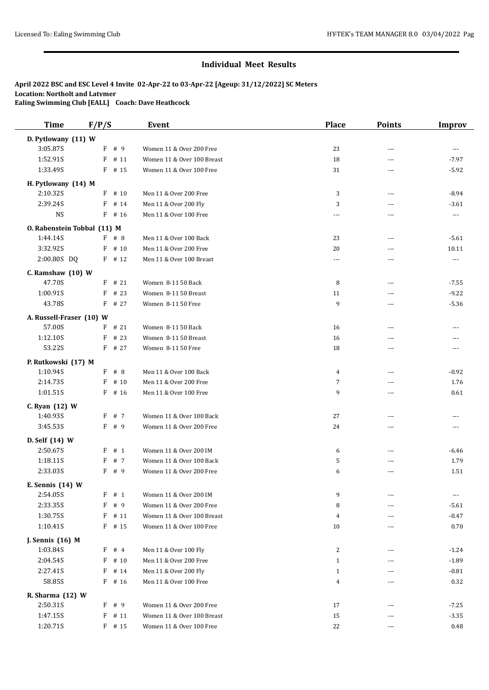| <b>Time</b>                 | F/P/S     | <b>Event</b>               | <b>Place</b>             | <b>Points</b>            | <b>Improv</b>                          |
|-----------------------------|-----------|----------------------------|--------------------------|--------------------------|----------------------------------------|
| D. Pytlowany (11) W         |           |                            |                          |                          |                                        |
| 3:05.87S                    | F # 9     | Women 11 & Over 200 Free   | 23                       | ---                      | $---$                                  |
| 1:52.91S                    | F<br># 11 | Women 11 & Over 100 Breast | 18                       | ---                      | $-7.97$                                |
| 1:33.49S                    | $F$ # 15  | Women 11 & Over 100 Free   | 31                       | $\frac{1}{2}$            | $-5.92$                                |
| H. Pytlowany (14) M         |           |                            |                          |                          |                                        |
| 2:10.32S                    | F<br># 10 | Men 11 & Over 200 Free     | 3                        | $\overline{a}$           | $-8.94$                                |
| 2:39.24S                    | F<br># 14 | Men 11 & Over 200 Fly      | 3                        | ---                      | $-3.61$                                |
| <b>NS</b>                   | $F$ # 16  | Men 11 & Over 100 Free     | $\overline{\phantom{a}}$ | ---                      | $\cdots$                               |
| O. Rabenstein Tobbal (11) M |           |                            |                          |                          |                                        |
| 1:44.14S                    | F # 8     | Men 11 & Over 100 Back     | 23                       | $\overline{\phantom{a}}$ | $-5.61$                                |
| 3:32.92S                    | $F$ # 10  | Men 11 & Over 200 Free     | 20                       | ---                      | 10.11                                  |
| 2:00.80S DQ                 | $F$ # 12  | Men 11 & Over 100 Breast   | $\cdots$                 | ---                      | $\scriptstyle\cdots\scriptstyle\cdots$ |
|                             |           |                            |                          |                          |                                        |
| $C.$ Ramshaw $(10)$ W       |           |                            |                          |                          |                                        |
| 47.70S                      | $F$ # 21  | Women 8-11 50 Back         | 8                        | ---                      | $-7.55$                                |
| 1:00.91S                    | $F$ # 23  | Women 8-11 50 Breast       | 11                       | $---$                    | $-9.22$                                |
| 43.78S                      | $F$ # 27  | Women 8-11 50 Free         | 9                        | ---                      | $-5.36$                                |
| A. Russell-Fraser (10) W    |           |                            |                          |                          |                                        |
| 57.00S                      | $F$ # 21  | Women 8-11 50 Back         | 16                       | $\overline{\phantom{a}}$ | ---                                    |
| 1:12.10S                    | F<br># 23 | Women 8-11 50 Breast       | 16                       | ---                      |                                        |
| 53.22S                      | $F$ # 27  | Women 8-11 50 Free         | 18                       | ---                      | ---                                    |
| P. Rutkowski (17) M         |           |                            |                          |                          |                                        |
| 1:10.94S                    | F # 8     | Men 11 & Over 100 Back     | 4                        | ---                      | $-0.92$                                |
| 2:14.73S                    | F<br># 10 | Men 11 & Over 200 Free     | 7                        | ---                      | 1.76                                   |
| 1:01.51S                    | $F$ # 16  | Men 11 & Over 100 Free     | 9                        | $---$                    | 0.61                                   |
| C. Ryan (12) W              |           |                            |                          |                          |                                        |
| 1:40.93S                    | F # 7     | Women 11 & Over 100 Back   | 27                       | ---                      |                                        |
| 3:45.53S                    | F # 9     | Women 11 & Over 200 Free   | 24                       | ---                      | $- - -$                                |
| D. Self (14) W              |           |                            |                          |                          |                                        |
| 2:50.67S                    | F<br># 1  | Women 11 & Over 200 IM     | 6                        | ---                      | $-6.46$                                |
| 1:18.11S                    | # 7<br>F  | Women 11 & Over 100 Back   | 5                        | ---                      | 1.79                                   |
| 2:33.03S                    | $F$ # 9   | Women 11 & Over 200 Free   | 6                        | ---                      | 1.51                                   |
|                             |           |                            |                          |                          |                                        |
| E. Sennis (14) W            |           |                            |                          |                          |                                        |
| 2:54.05S                    | F # 1     | Women 11 & Over 200 IM     | 9                        | ---                      | $\cdots$                               |
| 2:33.35S                    | F<br># 9  | Women 11 & Over 200 Free   | 8                        | ---                      | $-5.61$                                |
| 1:30.75S                    | $F$ # 11  | Women 11 & Over 100 Breast | 4                        |                          | $-0.47$                                |
| 1:10.41S                    | F # 15    | Women 11 & Over 100 Free   | 10                       | ---                      | 0.70                                   |
| J. Sennis (16) M            |           |                            |                          |                          |                                        |
| 1:03.84S                    | F<br>#4   | Men 11 & Over 100 Fly      | 2                        | ---                      | $-1.24$                                |
| 2:04.54S                    | F<br># 10 | Men 11 & Over 200 Free     | $\mathbf{1}$             | ---                      | $-1.89$                                |
| 2:27.41S                    | F<br># 14 | Men 11 & Over 200 Fly      | $\mathbf{1}$             | ---                      | $-0.81$                                |
| 58.85S                      | F # 16    | Men 11 & Over 100 Free     | 4                        | ---                      | 0.32                                   |
| R. Sharma (12) W            |           |                            |                          |                          |                                        |
| 2:50.31S                    | $F$ # 9   | Women 11 & Over 200 Free   | 17                       | ---                      | $-7.25$                                |
| 1:47.15S                    | F<br># 11 | Women 11 & Over 100 Breast | 15                       | ---                      | $-3.35$                                |
| 1:20.71S                    | $F$ # 15  | Women 11 & Over 100 Free   | 22                       | ---                      | 0.48                                   |